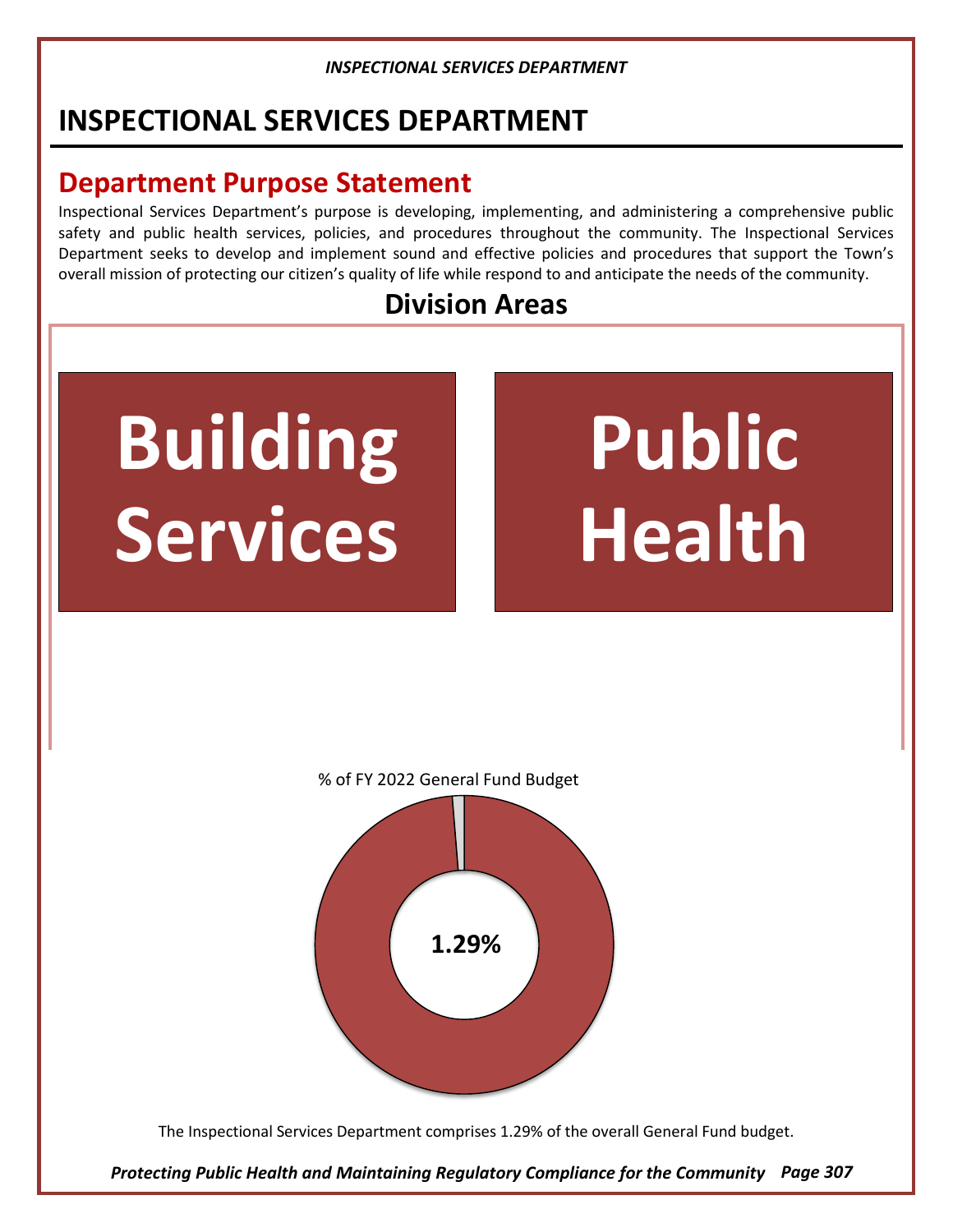# **INSPECTIONAL SERVICES DEPARTMENT**

# **Department Purpose Statement**

Inspectional Services Department's purpose is developing, implementing, and administering a comprehensive public safety and public health services, policies, and procedures throughout the community. The Inspectional Services Department seeks to develop and implement sound and effective policies and procedures that support the Town's overall mission of protecting our citizen's quality of life while respond to and anticipate the needs of the community.

# **Division Areas**

# **Building Services**

# **Public Health**



% of FY 2022 General Fund Budget

**1.29%**

The Inspectional Services Department comprises 1.29% of the overall General Fund budget.

*Protecting Public Health and Maintaining Regulatory Compliance for the Community Page 307*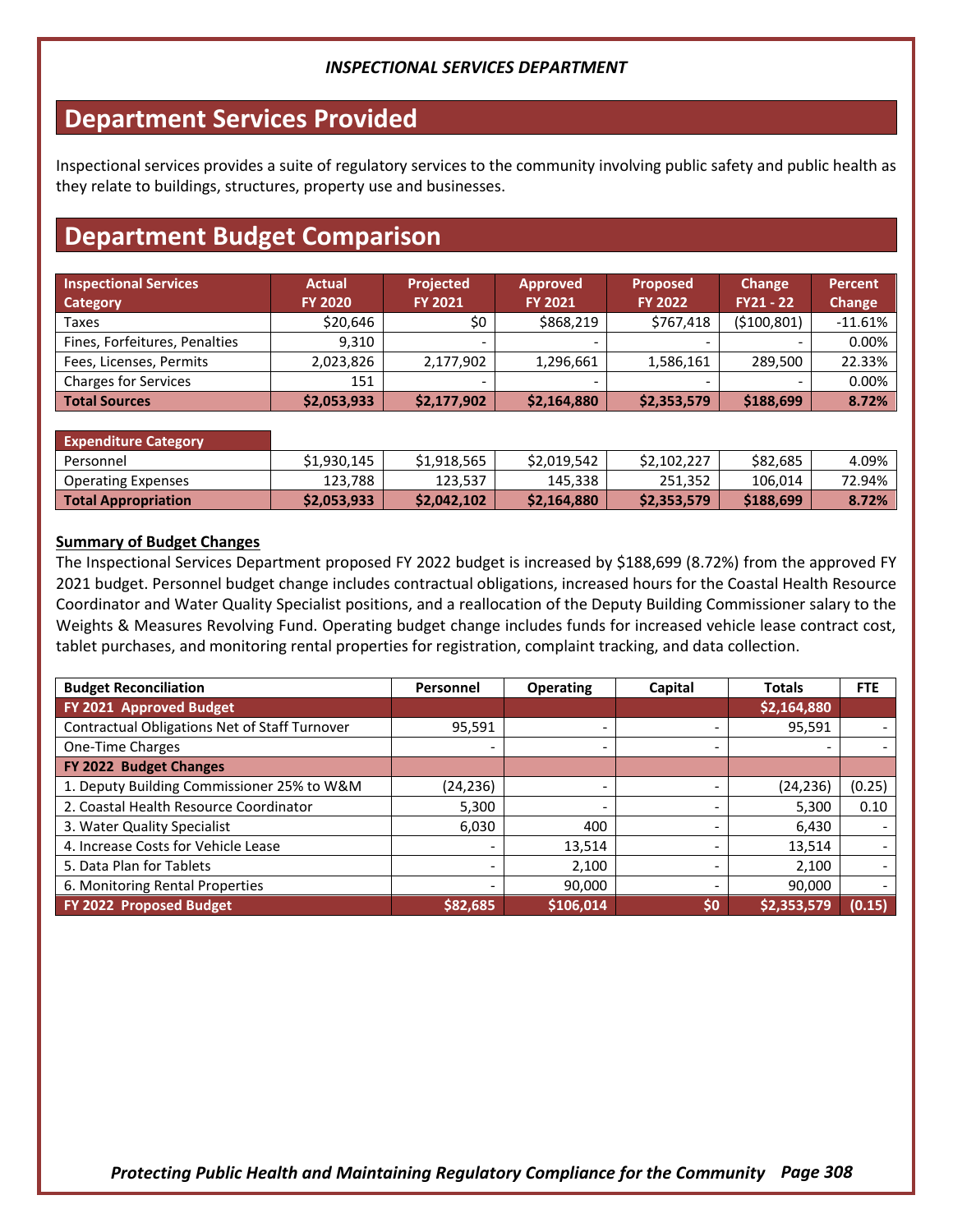## **Department Services Provided**

Inspectional services provides a suite of regulatory services to the community involving public safety and public health as they relate to buildings, structures, property use and businesses.

## **Department Budget Comparison**

| <b>Inspectional Services</b><br><b>Category</b> | <b>Actual</b><br><b>FY 2020</b> | <b>Projected</b><br><b>FY 2021</b> | <b>Approved</b><br><b>FY 2021</b> | <b>Proposed</b><br><b>FY 2022</b> | Change<br>$FY21 - 22$ | <b>Percent</b><br>Change |
|-------------------------------------------------|---------------------------------|------------------------------------|-----------------------------------|-----------------------------------|-----------------------|--------------------------|
| Taxes                                           | \$20,646                        | \$0                                | \$868,219                         | \$767,418                         | ( \$100, 801)         | $-11.61\%$               |
| Fines, Forfeitures, Penalties                   | 9.310                           | $\overline{\phantom{0}}$           |                                   |                                   |                       | $0.00\%$                 |
| Fees, Licenses, Permits                         | 2,023,826                       | 2,177,902                          | 1,296,661                         | 1,586,161                         | 289.500               | 22.33%                   |
| <b>Charges for Services</b>                     | 151                             |                                    |                                   |                                   |                       | 0.00%                    |
| Total Sources                                   | \$2,053,933                     | \$2,177,902                        | \$2,164,880                       | \$2,353,579                       | \$188,699             | 8.72%                    |

| <b>Expenditure Category</b> |             |             |             |             |           |          |
|-----------------------------|-------------|-------------|-------------|-------------|-----------|----------|
| Personnel                   | \$1.930.145 | \$1.918.565 | \$2.019.542 | \$2,102,227 | \$82,685  | $4.09\%$ |
| <b>Operating Expenses</b>   | 123.788     | 123,537     | 145,338     | 251.352     | 106.014   | 72.94%   |
| Total Appropriation         | \$2,053,933 | \$2,042,102 | \$2,164,880 | \$2,353,579 | \$188,699 | 8.72%    |

#### **Summary of Budget Changes**

The Inspectional Services Department proposed FY 2022 budget is increased by \$188,699 (8.72%) from the approved FY 2021 budget. Personnel budget change includes contractual obligations, increased hours for the Coastal Health Resource Coordinator and Water Quality Specialist positions, and a reallocation of the Deputy Building Commissioner salary to the Weights & Measures Revolving Fund. Operating budget change includes funds for increased vehicle lease contract cost, tablet purchases, and monitoring rental properties for registration, complaint tracking, and data collection.

| <b>Budget Reconciliation</b>                  | Personnel                | <b>Operating</b> | Capital | <b>Totals</b> | <b>FTE</b> |
|-----------------------------------------------|--------------------------|------------------|---------|---------------|------------|
| FY 2021 Approved Budget                       |                          |                  |         | \$2,164,880   |            |
| Contractual Obligations Net of Staff Turnover | 95,591                   |                  |         | 95,591        |            |
| One-Time Charges                              | $\overline{\phantom{0}}$ |                  |         |               |            |
| FY 2022 Budget Changes                        |                          |                  |         |               |            |
| 1. Deputy Building Commissioner 25% to W&M    | (24,236)                 |                  |         | (24, 236)     | (0.25)     |
| 2. Coastal Health Resource Coordinator        | 5,300                    |                  |         | 5.300         | 0.10       |
| 3. Water Quality Specialist                   | 6.030                    | 400              |         | 6,430         |            |
| 4. Increase Costs for Vehicle Lease           |                          | 13,514           |         | 13,514        |            |
| 5. Data Plan for Tablets                      |                          | 2,100            |         | 2,100         |            |
| 6. Monitoring Rental Properties               | -                        | 90,000           |         | 90,000        |            |
| FY 2022 Proposed Budget                       | \$82,685                 | \$106,014        | \$0     | \$2,353,579   | (0.15)     |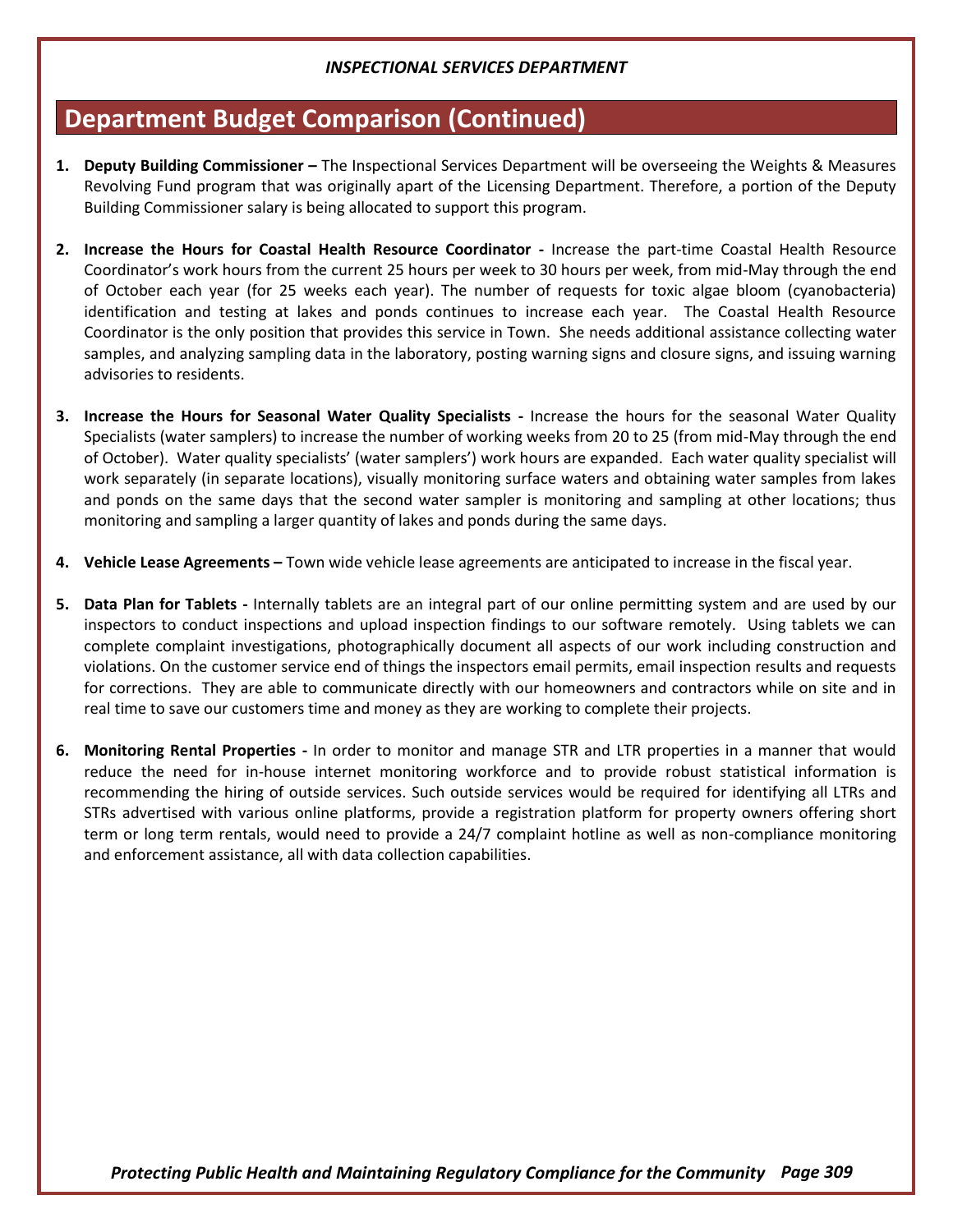## **Department Budget Comparison (Continued)**

- **1. Deputy Building Commissioner –** The Inspectional Services Department will be overseeing the Weights & Measures Revolving Fund program that was originally apart of the Licensing Department. Therefore, a portion of the Deputy Building Commissioner salary is being allocated to support this program.
- **2. Increase the Hours for Coastal Health Resource Coordinator -** Increase the part-time Coastal Health Resource Coordinator's work hours from the current 25 hours per week to 30 hours per week, from mid-May through the end of October each year (for 25 weeks each year). The number of requests for toxic algae bloom (cyanobacteria) identification and testing at lakes and ponds continues to increase each year. The Coastal Health Resource Coordinator is the only position that provides this service in Town. She needs additional assistance collecting water samples, and analyzing sampling data in the laboratory, posting warning signs and closure signs, and issuing warning advisories to residents.
- **3. Increase the Hours for Seasonal Water Quality Specialists -** Increase the hours for the seasonal Water Quality Specialists (water samplers) to increase the number of working weeks from 20 to 25 (from mid-May through the end of October). Water quality specialists' (water samplers') work hours are expanded. Each water quality specialist will work separately (in separate locations), visually monitoring surface waters and obtaining water samples from lakes and ponds on the same days that the second water sampler is monitoring and sampling at other locations; thus monitoring and sampling a larger quantity of lakes and ponds during the same days.
- **4. Vehicle Lease Agreements –** Town wide vehicle lease agreements are anticipated to increase in the fiscal year.
- **5. Data Plan for Tablets -** Internally tablets are an integral part of our online permitting system and are used by our inspectors to conduct inspections and upload inspection findings to our software remotely. Using tablets we can complete complaint investigations, photographically document all aspects of our work including construction and violations. On the customer service end of things the inspectors email permits, email inspection results and requests for corrections. They are able to communicate directly with our homeowners and contractors while on site and in real time to save our customers time and money as they are working to complete their projects.
- **6. Monitoring Rental Properties -** In order to monitor and manage STR and LTR properties in a manner that would reduce the need for in-house internet monitoring workforce and to provide robust statistical information is recommending the hiring of outside services. Such outside services would be required for identifying all LTRs and STRs advertised with various online platforms, provide a registration platform for property owners offering short term or long term rentals, would need to provide a 24/7 complaint hotline as well as non-compliance monitoring and enforcement assistance, all with data collection capabilities.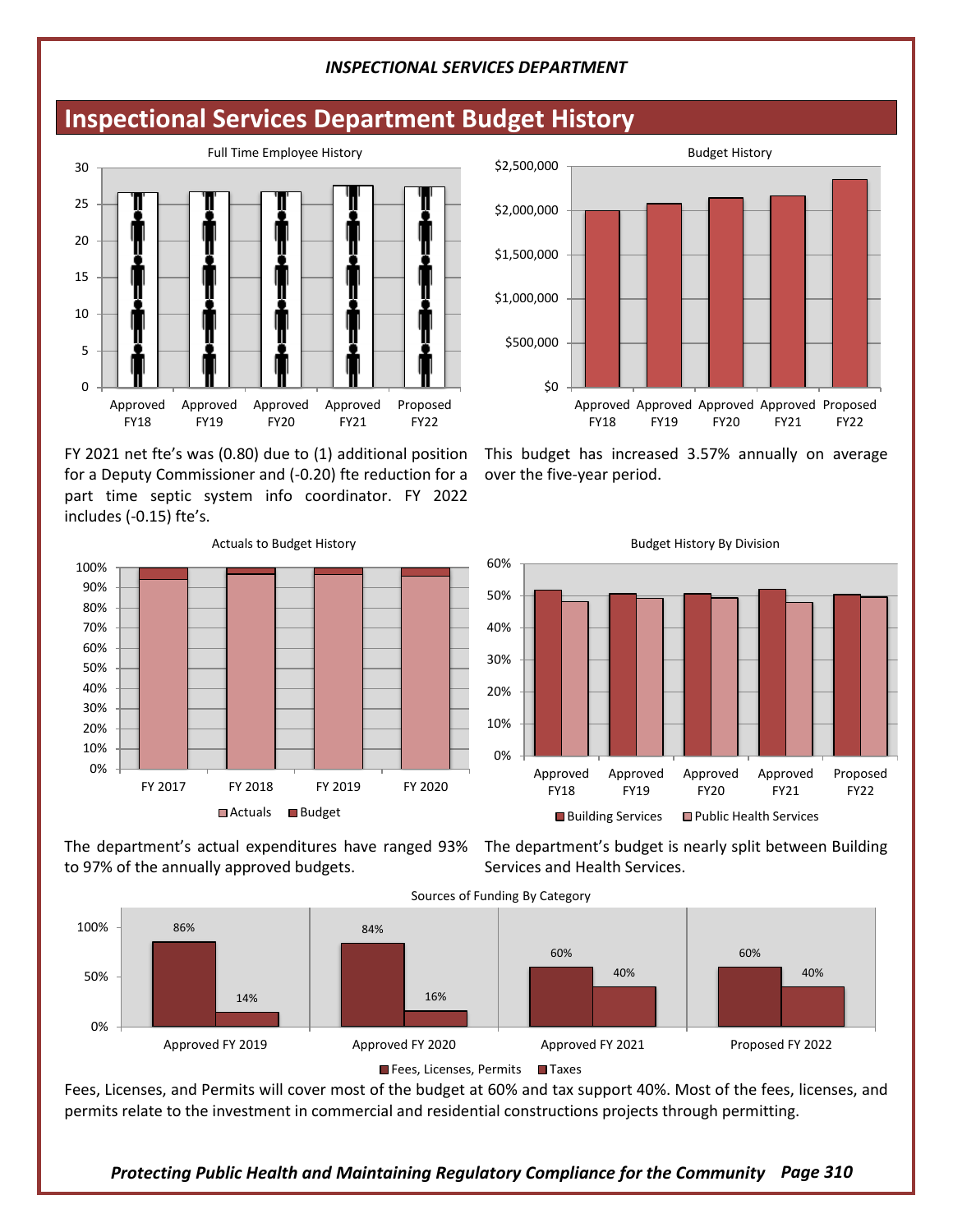## **Inspectional Services Department Budget History**



FY 2021 net fte's was (0.80) due to (1) additional position for a Deputy Commissioner and (-0.20) fte reduction for a part time septic system info coordinator. FY 2022 includes (-0.15) fte's.



to 97% of the annually approved budgets.

\$0 \$500,000 \$1,000,000 \$1,500,000 \$2,000,000 \$2,500,000 Approved Approved Approved Approved Proposed FY18 FY19 FY20 FY21 FY22 Budget History

This budget has increased 3.57% annually on average over the five-year period.



The department's actual expenditures have ranged 93% The department's budget is nearly split between Building Services and Health Services.



Fees, Licenses, and Permits will cover most of the budget at 60% and tax support 40%. Most of the fees, licenses, and permits relate to the investment in commercial and residential constructions projects through permitting.

*Protecting Public Health and Maintaining Regulatory Compliance for the Community Page 310*

Budget History By Division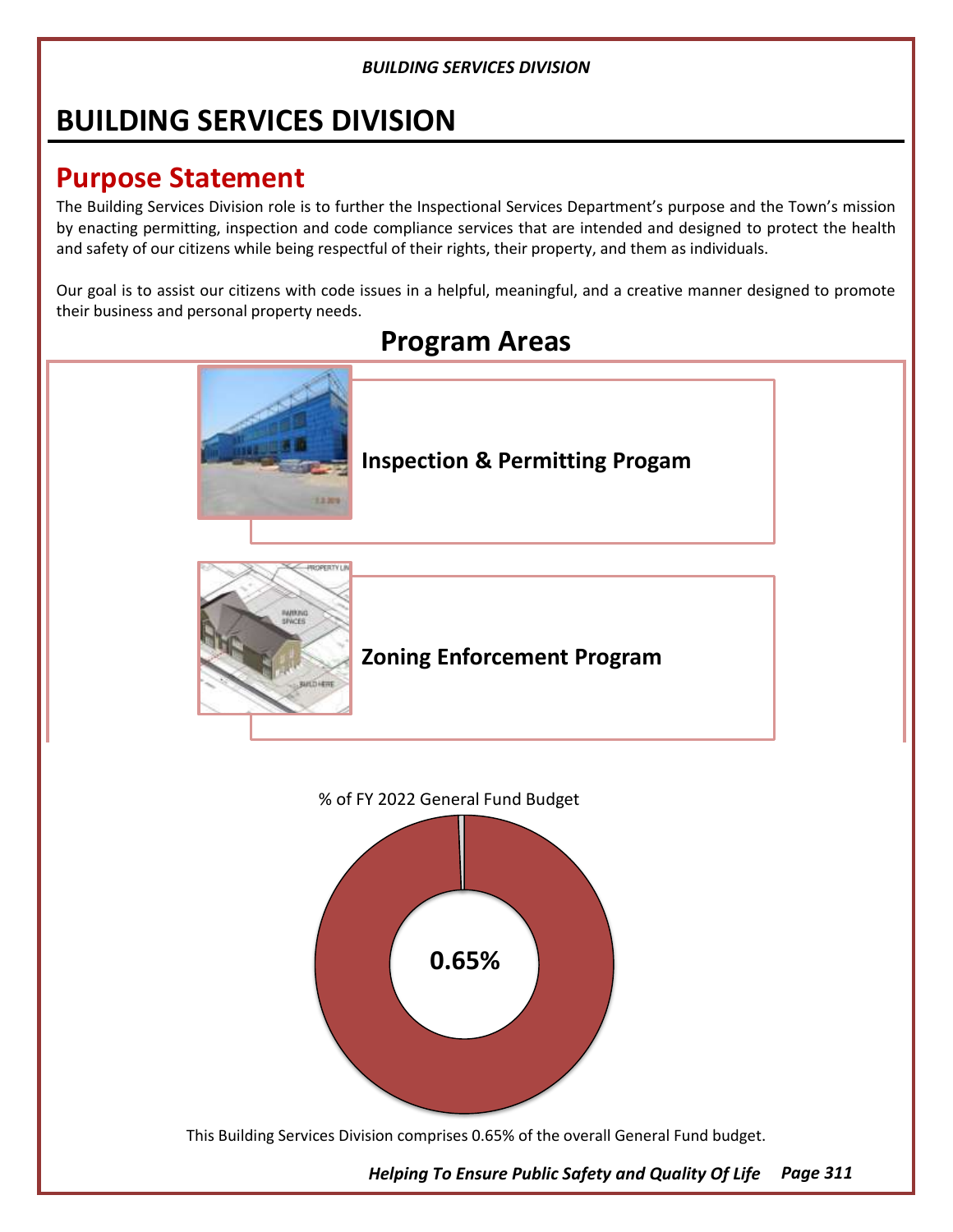# **BUILDING SERVICES DIVISION**

# **Purpose Statement**

The Building Services Division role is to further the Inspectional Services Department's purpose and the Town's mission by enacting permitting, inspection and code compliance services that are intended and designed to protect the health and safety of our citizens while being respectful of their rights, their property, and them as individuals.

Our goal is to assist our citizens with code issues in a helpful, meaningful, and a creative manner designed to promote their business and personal property needs.

# **Program Areas Inspection & Permitting Progam** 13305 **Zoning Enforcement Program** % of FY 2022 General Fund Budget



This Building Services Division comprises 0.65% of the overall General Fund budget.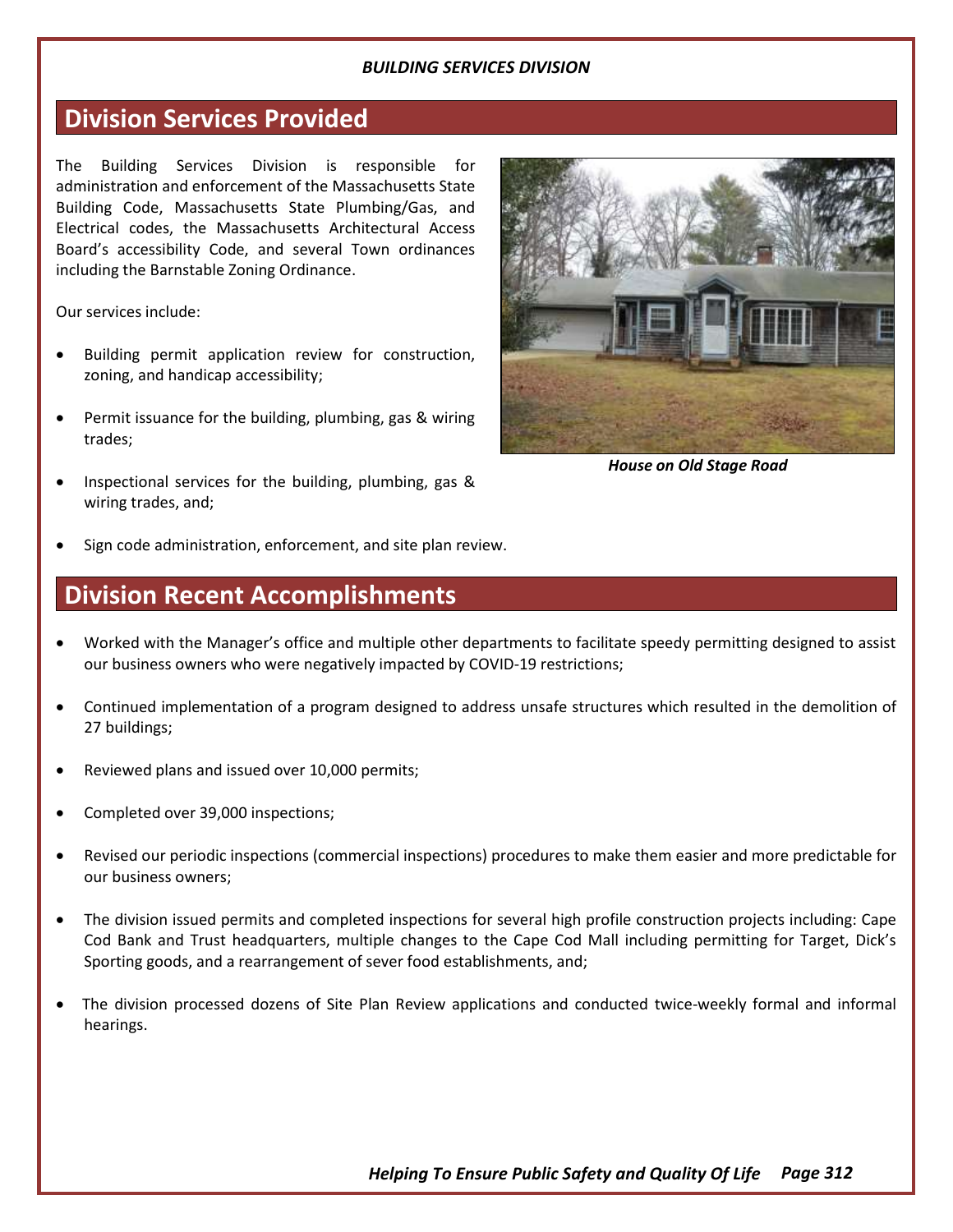## **Division Services Provided**

The Building Services Division is responsible for administration and enforcement of the Massachusetts State Building Code, Massachusetts State Plumbing/Gas, and Electrical codes, the Massachusetts Architectural Access Board's accessibility Code, and several Town ordinances including the Barnstable Zoning Ordinance.

Our services include:

- Building permit application review for construction, zoning, and handicap accessibility;
- Permit issuance for the building, plumbing, gas & wiring trades;
- Inspectional services for the building, plumbing, gas & wiring trades, and;



*House on Old Stage Road*

Sign code administration, enforcement, and site plan review.

## **Division Recent Accomplishments**

- Worked with the Manager's office and multiple other departments to facilitate speedy permitting designed to assist our business owners who were negatively impacted by COVID-19 restrictions;
- Continued implementation of a program designed to address unsafe structures which resulted in the demolition of 27 buildings;
- Reviewed plans and issued over 10,000 permits;
- Completed over 39,000 inspections;
- Revised our periodic inspections (commercial inspections) procedures to make them easier and more predictable for our business owners;
- The division issued permits and completed inspections for several high profile construction projects including: Cape Cod Bank and Trust headquarters, multiple changes to the Cape Cod Mall including permitting for Target, Dick's Sporting goods, and a rearrangement of sever food establishments, and;
- The division processed dozens of Site Plan Review applications and conducted twice-weekly formal and informal hearings.

*Helping To Ensure Public Safety and Quality Of Life Page 312*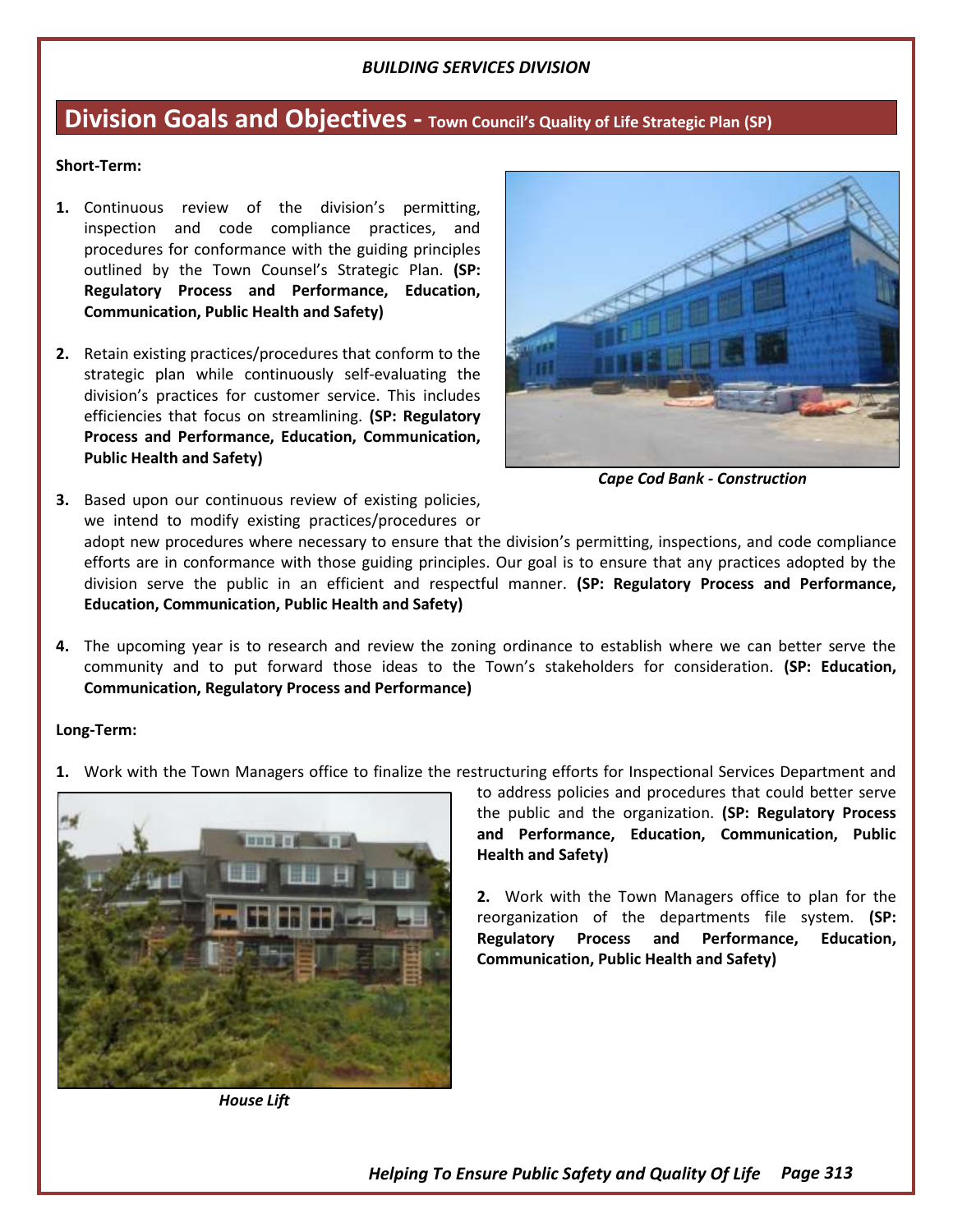## **Division Goals and Objectives - Town Council's Quality of Life Strategic Plan (SP)**

#### **Short-Term:**

- **1.** Continuous review of the division's permitting, inspection and code compliance practices, and procedures for conformance with the guiding principles outlined by the Town Counsel's Strategic Plan. **(SP: Regulatory Process and Performance, Education, Communication, Public Health and Safety)**
- **2.** Retain existing practices/procedures that conform to the strategic plan while continuously self-evaluating the division's practices for customer service. This includes efficiencies that focus on streamlining. **(SP: Regulatory Process and Performance, Education, Communication, Public Health and Safety)**



*Cape Cod Bank - Construction*

- **3.** Based upon our continuous review of existing policies, we intend to modify existing practices/procedures or adopt new procedures where necessary to ensure that the division's permitting, inspections, and code compliance efforts are in conformance with those guiding principles. Our goal is to ensure that any practices adopted by the division serve the public in an efficient and respectful manner. **(SP: Regulatory Process and Performance, Education, Communication, Public Health and Safety)**
- **4.** The upcoming year is to research and review the zoning ordinance to establish where we can better serve the community and to put forward those ideas to the Town's stakeholders for consideration. **(SP: Education, Communication, Regulatory Process and Performance)**

#### **Long-Term:**

**1.** Work with the Town Managers office to finalize the restructuring efforts for Inspectional Services Department and



*House Lift*

to address policies and procedures that could better serve the public and the organization. **(SP: Regulatory Process and Performance, Education, Communication, Public Health and Safety)**

**2.** Work with the Town Managers office to plan for the reorganization of the departments file system. **(SP: Regulatory Process and Performance, Education, Communication, Public Health and Safety)**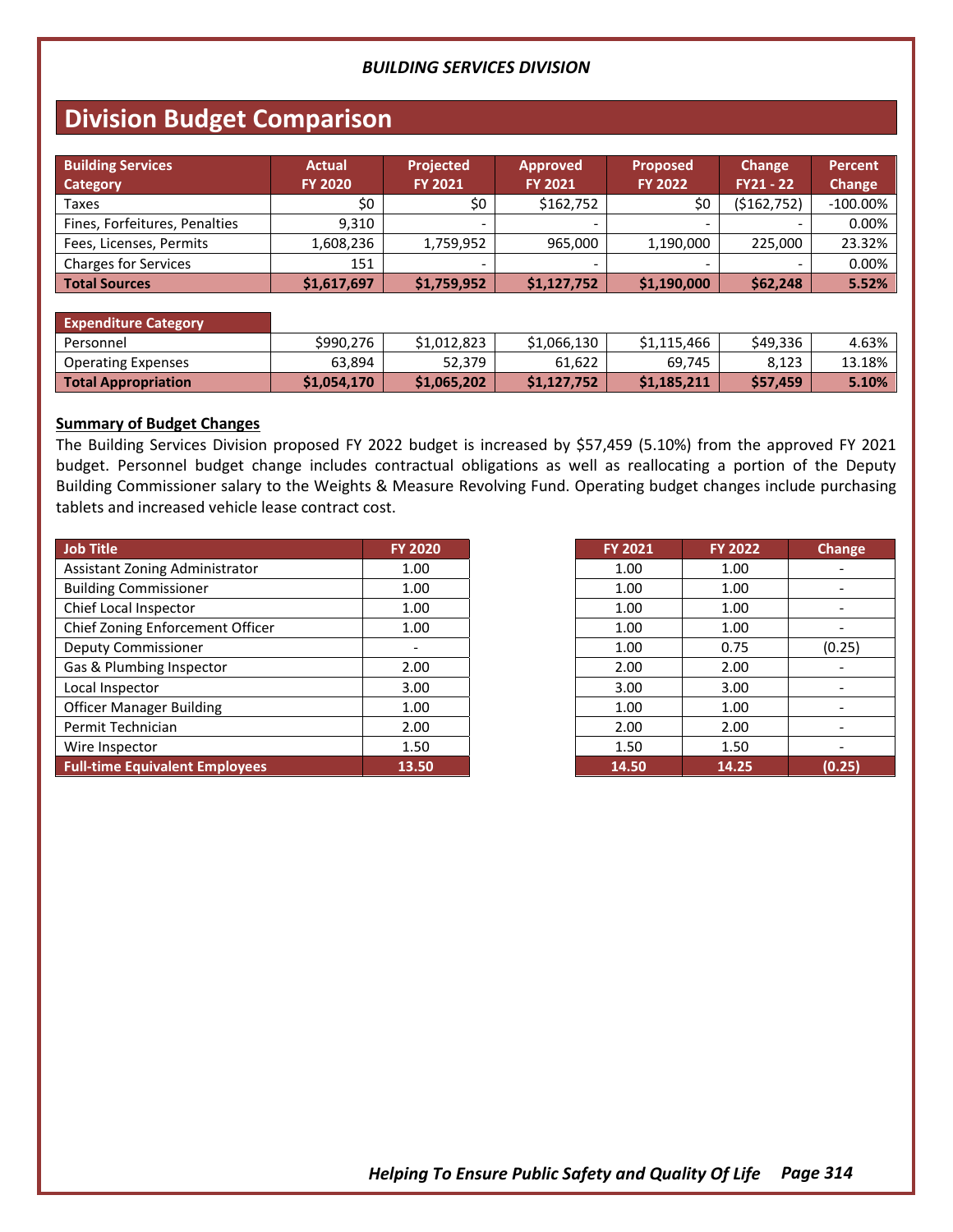## **Division Budget Comparison**

| <b>Building Services</b><br><b>Category</b> | <b>Actual</b><br><b>FY 2020</b> | <b>Projected</b><br><b>FY 2021</b> | <b>Approved</b><br><b>FY 2021</b> | <b>Proposed</b><br><b>FY 2022</b> | Change<br>$FY21 - 22$ | <b>Percent</b><br>Change |
|---------------------------------------------|---------------------------------|------------------------------------|-----------------------------------|-----------------------------------|-----------------------|--------------------------|
| Taxes                                       | \$0                             | \$0                                | \$162,752                         | \$0                               | (\$162,752)           | $-100.00\%$              |
| Fines, Forfeitures, Penalties               | 9.310                           | -                                  |                                   | $\sim$                            |                       | 0.00%                    |
| Fees, Licenses, Permits                     | 1,608,236                       | 1,759,952                          | 965.000                           | 1,190,000                         | 225.000               | 23.32%                   |
| <b>Charges for Services</b>                 | 151                             |                                    |                                   |                                   |                       | 0.00%                    |
| <b>Total Sources</b>                        | \$1,617,697                     | \$1,759,952                        | \$1,127,752                       | \$1,190,000                       | \$62,248              | 5.52%                    |

#### **Expenditure Category** Personnel \$990,276 \$1,012,823 \$1,066,130 \$1,115,466 \$49,336 4.63% Operating Expenses 1. 63,894 52,379 61,622 69,745 8,123 13.18% **Total Appropriation \$1,054,170 \$1,065,202 \$1,127,752 \$1,185,211 \$57,459 5.10%**

#### **Summary of Budget Changes**

The Building Services Division proposed FY 2022 budget is increased by \$57,459 (5.10%) from the approved FY 2021 budget. Personnel budget change includes contractual obligations as well as reallocating a portion of the Deputy Building Commissioner salary to the Weights & Measure Revolving Fund. Operating budget changes include purchasing tablets and increased vehicle lease contract cost.

| Job Title                             | <b>FY 2020</b> |
|---------------------------------------|----------------|
| Assistant Zoning Administrator        | 1.00           |
| <b>Building Commissioner</b>          | 1.00           |
| Chief Local Inspector                 | 1.00           |
| Chief Zoning Enforcement Officer      | 1.00           |
| <b>Deputy Commissioner</b>            |                |
| Gas & Plumbing Inspector              | 2.00           |
| Local Inspector                       | 3.00           |
| <b>Officer Manager Building</b>       | 1.00           |
| Permit Technician                     | 2.00           |
| Wire Inspector                        | 1.50           |
| <b>Full-time Equivalent Employees</b> | 13.50          |

| <b>FY 2021</b> | <b>FY 2022</b> | <b>Change</b> |
|----------------|----------------|---------------|
| 1.00           | 1.00           |               |
| 1.00           | 1.00           |               |
| 1.00           | 1.00           |               |
| 1.00           | 1.00           |               |
| 1.00           | 0.75           | (0.25)        |
| 2.00           | 2.00           |               |
| 3.00           | 3.00           |               |
| 1.00           | 1.00           |               |
| 2.00           | 2.00           |               |
| 1.50           | 1.50           |               |
| 14.50          | 14.25          | (0.25)        |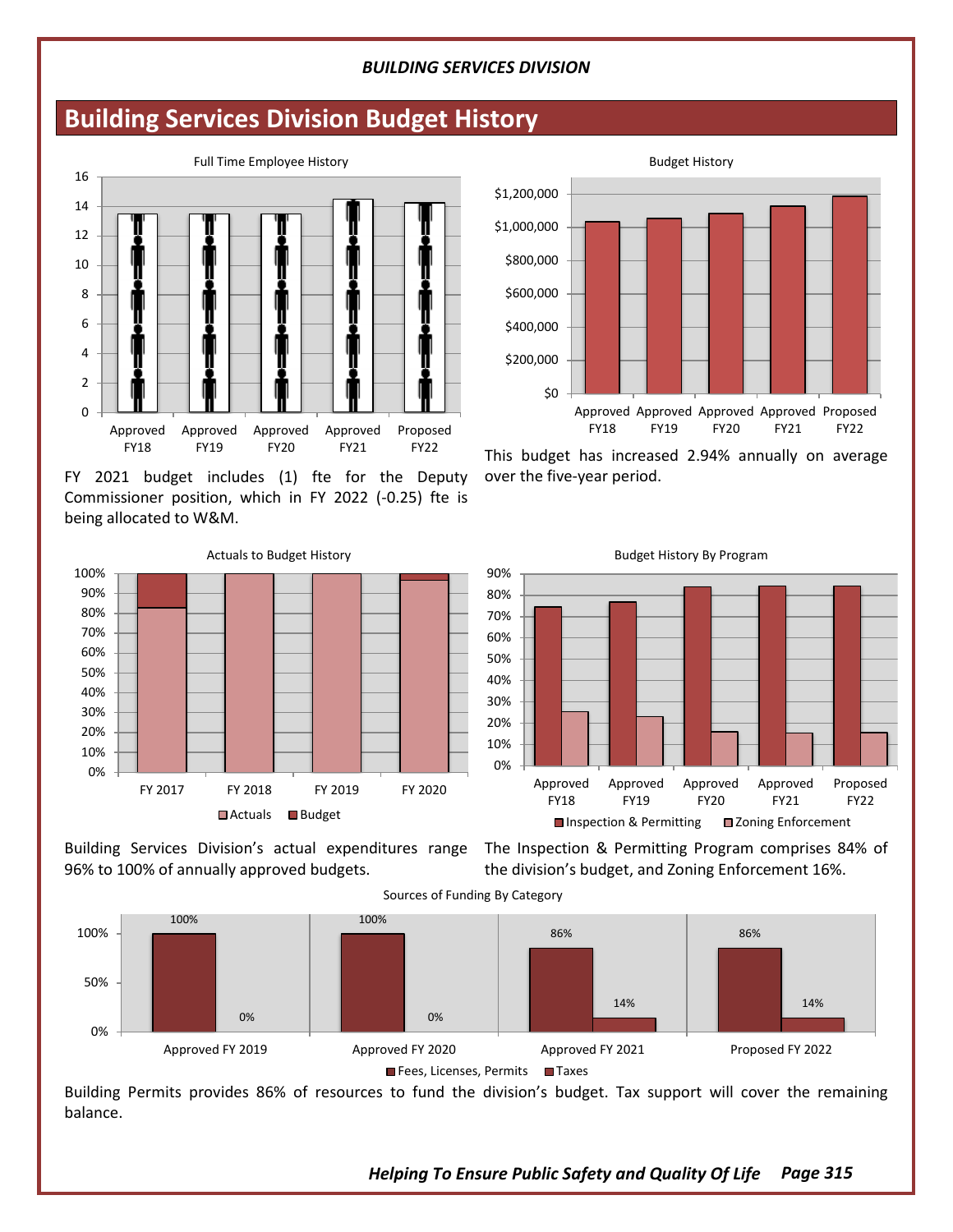## **Building Services Division Budget History**



FY 2021 budget includes (1) fte for the Deputy Commissioner position, which in FY 2022 (-0.25) fte is being allocated to W&M.



96% to 100% of annually approved budgets.

Building Services Division's actual expenditures range The Inspection & Permitting Program comprises 84% of the division's budget, and Zoning Enforcement 16%.



Building Permits provides 86% of resources to fund the division's budget. Tax support will cover the remaining balance.



This budget has increased 2.94% annually on average over the five-year period.



Budget History By Program

*Helping To Ensure Public Safety and Quality Of Life Page 315*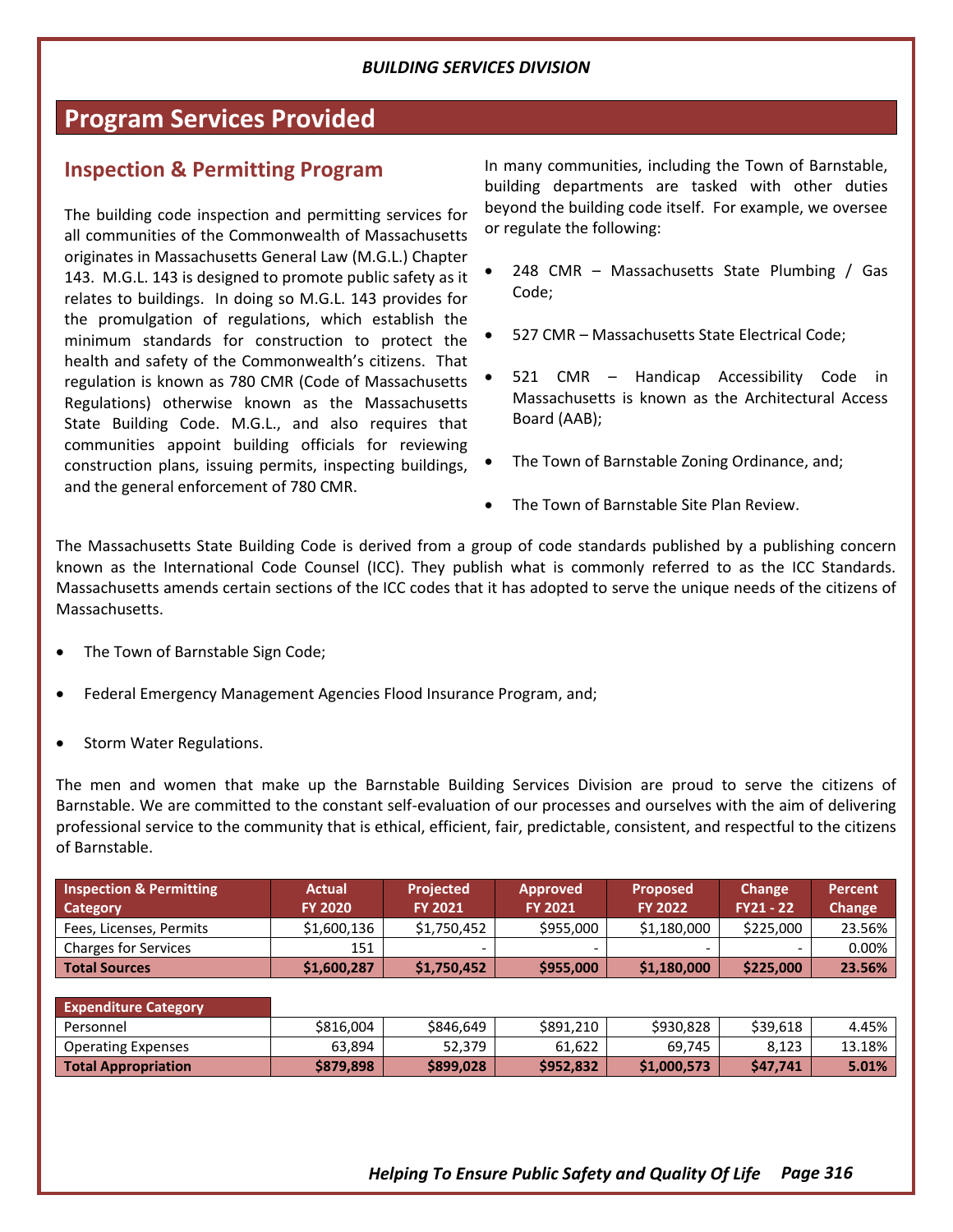## **Program Services Provided**

## **Inspection & Permitting Program**

The building code inspection and permitting services for all communities of the Commonwealth of Massachusetts originates in Massachusetts General Law (M.G.L.) Chapter 143. M.G.L. 143 is designed to promote public safety as it relates to buildings. In doing so M.G.L. 143 provides for the promulgation of regulations, which establish the minimum standards for construction to protect the health and safety of the Commonwealth's citizens. That regulation is known as 780 CMR (Code of Massachusetts Regulations) otherwise known as the Massachusetts State Building Code. M.G.L., and also requires that communities appoint building officials for reviewing construction plans, issuing permits, inspecting buildings, and the general enforcement of 780 CMR.

In many communities, including the Town of Barnstable, building departments are tasked with other duties beyond the building code itself. For example, we oversee or regulate the following:

- 248 CMR Massachusetts State Plumbing / Gas Code;
- 527 CMR Massachusetts State Electrical Code;
- 521 CMR Handicap Accessibility Code in Massachusetts is known as the Architectural Access Board (AAB);
- The Town of Barnstable Zoning Ordinance, and;
- The Town of Barnstable Site Plan Review.

The Massachusetts State Building Code is derived from a group of code standards published by a publishing concern known as the International Code Counsel (ICC). They publish what is commonly referred to as the ICC Standards. Massachusetts amends certain sections of the ICC codes that it has adopted to serve the unique needs of the citizens of Massachusetts.

- The Town of Barnstable Sign Code;
- Federal Emergency Management Agencies Flood Insurance Program, and;
- Storm Water Regulations.

The men and women that make up the Barnstable Building Services Division are proud to serve the citizens of Barnstable. We are committed to the constant self-evaluation of our processes and ourselves with the aim of delivering professional service to the community that is ethical, efficient, fair, predictable, consistent, and respectful to the citizens of Barnstable.

| <b>Inspection &amp; Permitting</b><br>Category | <b>Actual</b><br><b>FY 2020</b> | <b>Projected</b><br><b>FY 2021</b> | <b>Approved</b><br><b>FY 2021</b> | <b>Proposed</b><br><b>FY 2022</b> | Change<br><b>FY21 - 22</b> | <b>Percent</b><br>Change |
|------------------------------------------------|---------------------------------|------------------------------------|-----------------------------------|-----------------------------------|----------------------------|--------------------------|
| Fees, Licenses, Permits                        | \$1,600,136                     | \$1,750,452                        | \$955,000                         | \$1,180,000                       | \$225,000                  | 23.56%                   |
| <b>Charges for Services</b>                    | 151                             |                                    | $\overline{\phantom{0}}$          |                                   |                            | 0.00%                    |
| <b>Total Sources</b>                           | \$1,600,287                     | \$1,750,452                        | \$955,000                         | \$1,180,000                       | \$225,000                  | 23.56%                   |

| <b>Expenditure Category</b> |           |           |           |             |          |        |
|-----------------------------|-----------|-----------|-----------|-------------|----------|--------|
| Personnel                   | \$816.004 | \$846,649 | \$891.210 | \$930.828   | \$39.618 | 4.45%  |
| <b>Operating Expenses</b>   | 63,894    | 52,379    | 61,622    | 69,745      | 8.123    | 13.18% |
| Total Appropriation         | \$879,898 | \$899,028 | \$952.832 | \$1,000,573 | S47.741  | 5.01%  |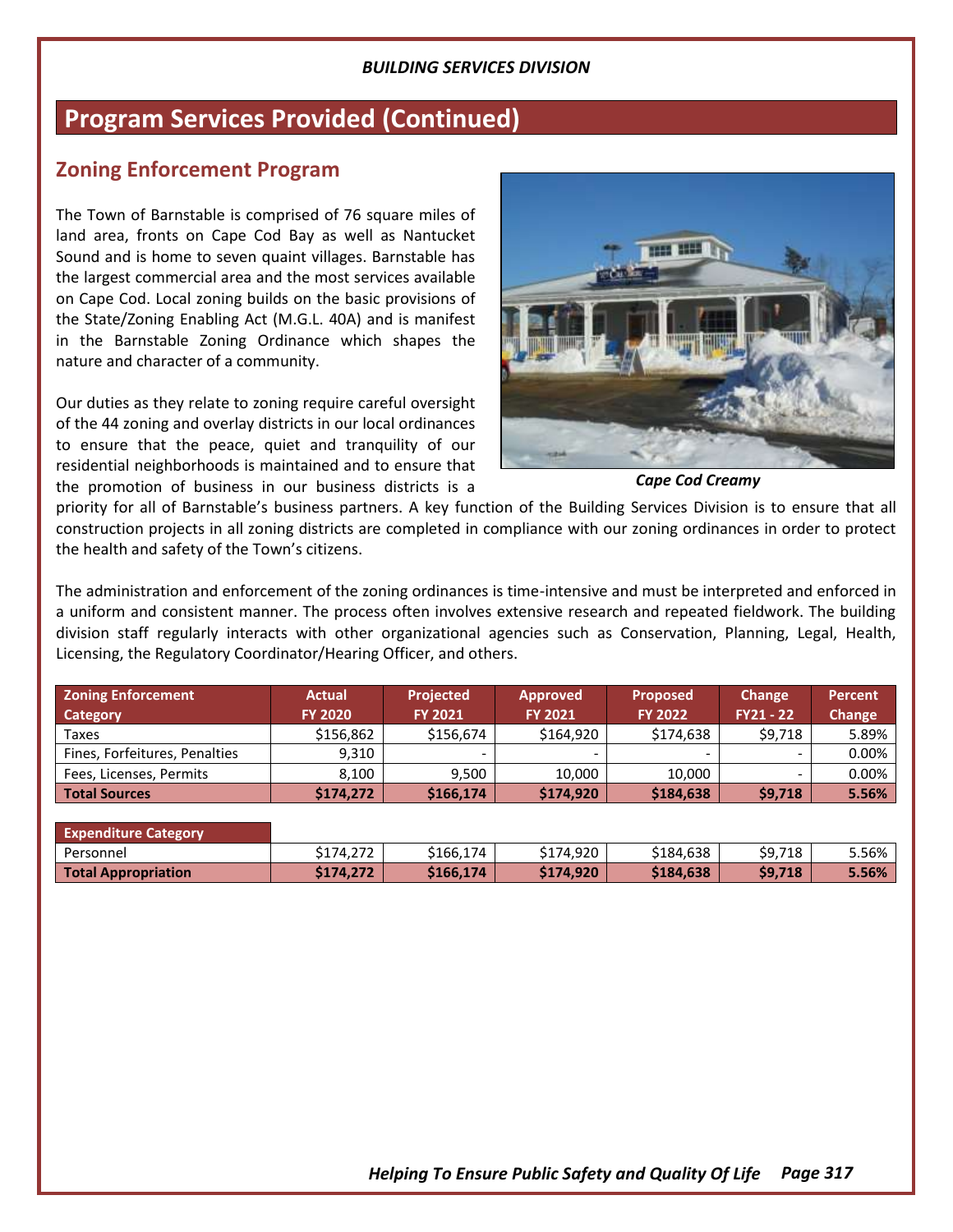## **Program Services Provided (Continued)**

## **Zoning Enforcement Program**

The Town of Barnstable is comprised of 76 square miles of land area, fronts on Cape Cod Bay as well as Nantucket Sound and is home to seven quaint villages. Barnstable has the largest commercial area and the most services available on Cape Cod. Local zoning builds on the basic provisions of the State/Zoning Enabling Act (M.G.L. 40A) and is manifest in the Barnstable Zoning Ordinance which shapes the nature and character of a community.

Our duties as they relate to zoning require careful oversight of the 44 zoning and overlay districts in our local ordinances to ensure that the peace, quiet and tranquility of our residential neighborhoods is maintained and to ensure that the promotion of business in our business districts is a



*Cape Cod Creamy*

priority for all of Barnstable's business partners. A key function of the Building Services Division is to ensure that all construction projects in all zoning districts are completed in compliance with our zoning ordinances in order to protect the health and safety of the Town's citizens.

The administration and enforcement of the zoning ordinances is time-intensive and must be interpreted and enforced in a uniform and consistent manner. The process often involves extensive research and repeated fieldwork. The building division staff regularly interacts with other organizational agencies such as Conservation, Planning, Legal, Health, Licensing, the Regulatory Coordinator/Hearing Officer, and others.

| <b>Zoning Enforcement</b><br>Category | <b>Actual</b><br><b>FY 2020</b> | <b>Projected</b><br><b>FY 2021</b> | <b>Approved</b><br><b>FY 2021</b> | <b>Proposed</b><br><b>FY 2022</b> | Change<br>$FY21 - 22$ | Percent<br>Change |
|---------------------------------------|---------------------------------|------------------------------------|-----------------------------------|-----------------------------------|-----------------------|-------------------|
| Taxes                                 | \$156,862                       | \$156,674                          | \$164.920                         | \$174.638                         | \$9,718               | 5.89%             |
| Fines, Forfeitures, Penalties         | 9.310                           | $\overline{\phantom{0}}$           |                                   |                                   |                       | 0.00%             |
| Fees, Licenses, Permits               | 8.100                           | 9.500                              | 10.000                            | 10.000                            |                       | 0.00%             |
| <b>Total Sources</b>                  | \$174,272                       | \$166,174                          | \$174,920                         | \$184,638                         | \$9,718               | 5.56%             |

| <b>Expenditure Category</b> |           |           |           |           |         |       |
|-----------------------------|-----------|-----------|-----------|-----------|---------|-------|
| Personnel                   | \$174,272 | \$166,174 | \$174.920 | \$184.638 | \$9,718 | 5.56% |
| <b>Total Appropriation</b>  | \$174.272 | \$166.174 | \$174.920 | \$184,638 | \$9,718 | 5.56% |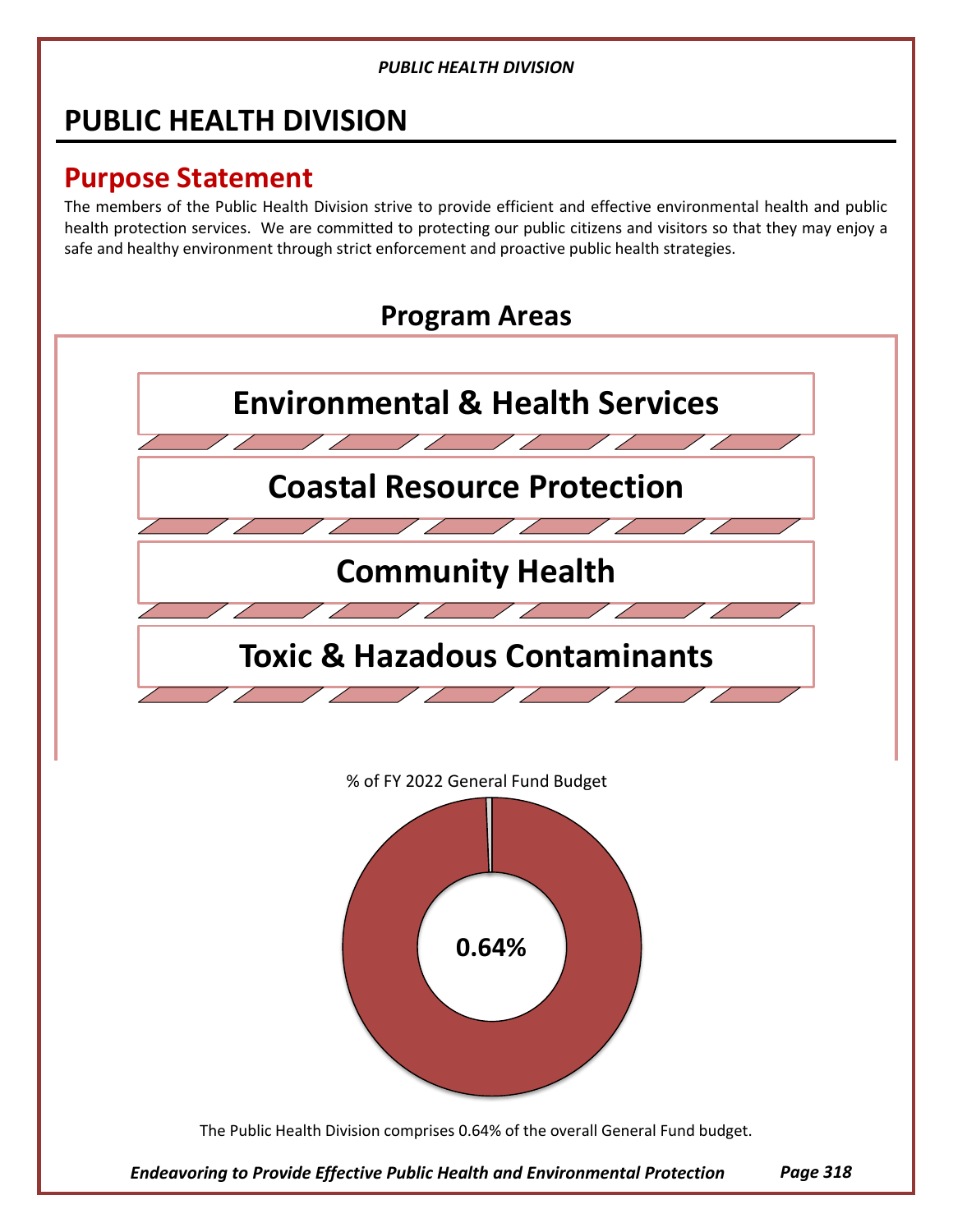# **PUBLIC HEALTH DIVISION**

# **Purpose Statement**

The members of the Public Health Division strive to provide efficient and effective environmental health and public health protection services. We are committed to protecting our public citizens and visitors so that they may enjoy a safe and healthy environment through strict enforcement and proactive public health strategies.

# **Program Areas**



% of FY 2022 General Fund Budget



The Public Health Division comprises 0.64% of the overall General Fund budget.

*Endeavoring to Provide Effective Public Health and Environmental Protection*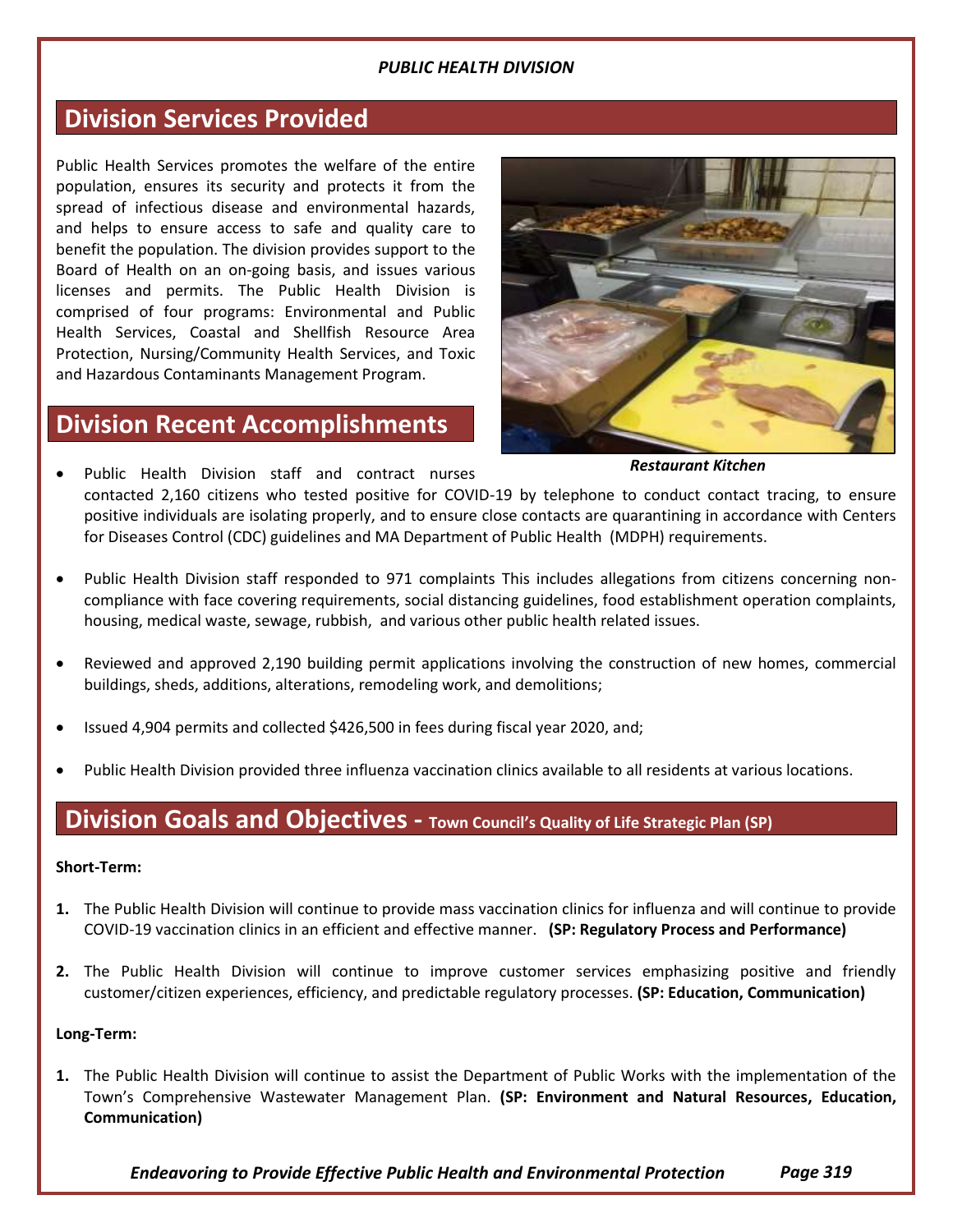## **Division Services Provided**

Public Health Services promotes the welfare of the entire population, ensures its security and protects it from the spread of infectious disease and environmental hazards, and helps to ensure access to safe and quality care to benefit the population. The division provides support to the Board of Health on an on-going basis, and issues various licenses and permits. The Public Health Division is comprised of four programs: Environmental and Public Health Services, Coastal and Shellfish Resource Area Protection, Nursing/Community Health Services, and Toxic and Hazardous Contaminants Management Program.

## **Division Recent Accomplishments**



*Restaurant Kitchen*

*Services*

- Public Health Division staff and contract nurses contacted 2,160 citizens who tested positive for COVID-19 by telephone to conduct contact tracing, to ensure positive individuals are isolating properly, and to ensure close contacts are quarantining in accordance with Centers for Diseases Control (CDC) guidelines and MA Department of Public Health (MDPH) requirements.
- Public Health Division staff responded to 971 complaints This includes allegations from citizens concerning noncompliance with face covering requirements, social distancing guidelines, food establishment operation complaints, housing, medical waste, sewage, rubbish, and various other public health related issues.
- Reviewed and approved 2,190 building permit applications involving the construction of new homes, commercial buildings, sheds, additions, alterations, remodeling work, and demolitions;
- Issued 4,904 permits and collected \$426,500 in fees during fiscal year 2020, and;
- Public Health Division provided three influenza vaccination clinics available to all residents at various locations.

## **Division Goals and Objectives - Town Council's Quality of Life Strategic Plan (SP)**

#### **Short-Term:**

- **1.** The Public Health Division will continue to provide mass vaccination clinics for influenza and will continue to provide COVID-19 vaccination clinics in an efficient and effective manner. **(SP: Regulatory Process and Performance)**
- **2.** The Public Health Division will continue to improve customer services emphasizing positive and friendly customer/citizen experiences, efficiency, and predictable regulatory processes. **(SP: Education, Communication)**

#### **Long-Term:**

**1.** The Public Health Division will continue to assist the Department of Public Works with the implementation of the Town's Comprehensive Wastewater Management Plan. **(SP: Environment and Natural Resources, Education, Communication)**

*Endeavoring to Provide Effective Public Health and Environmental Protection Page 319*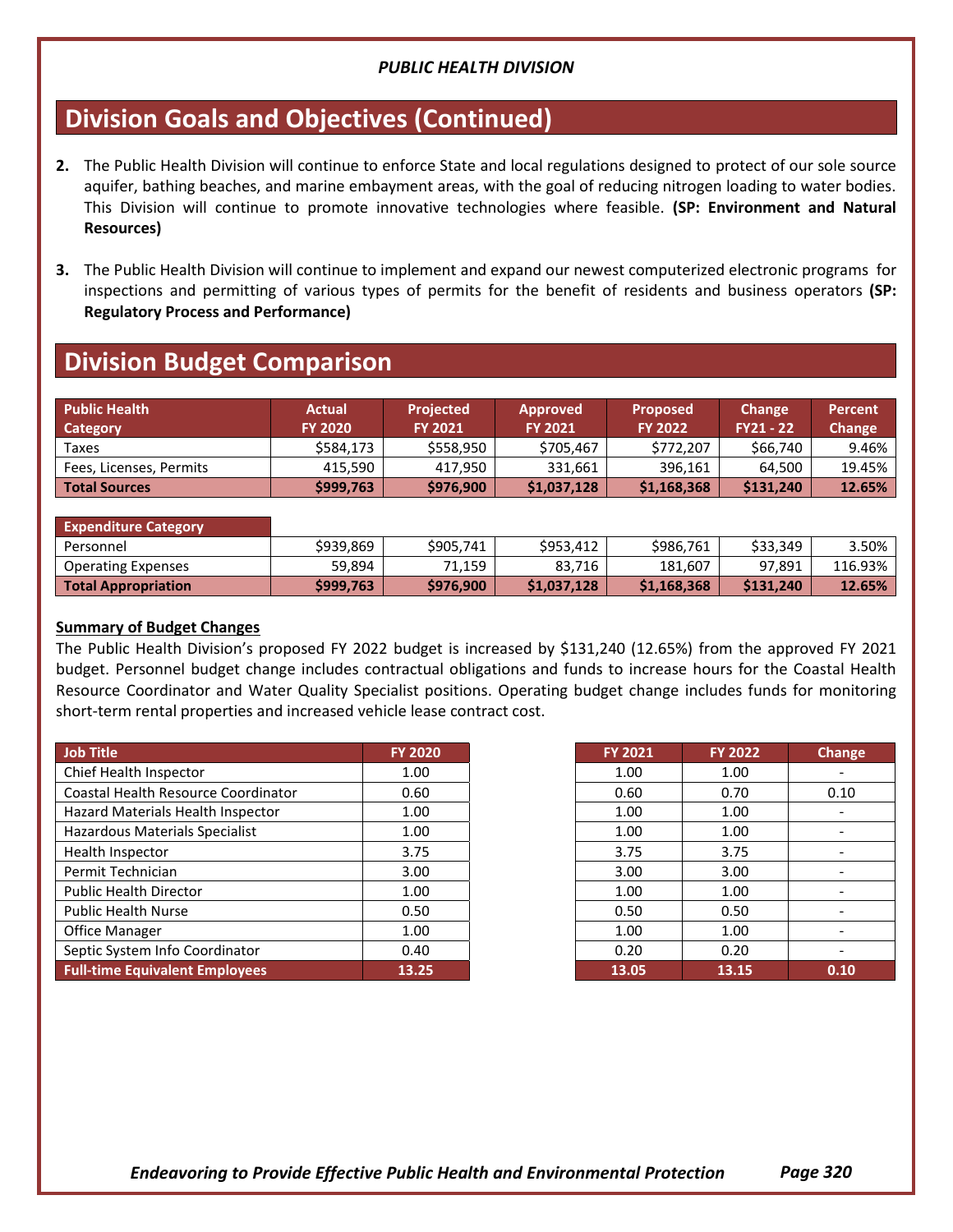## **Division Goals and Objectives (Continued)**

- **2.** The Public Health Division will continue to enforce State and local regulations designed to protect of our sole source aquifer, bathing beaches, and marine embayment areas, with the goal of reducing nitrogen loading to water bodies. This Division will continue to promote innovative technologies where feasible. **(SP: Environment and Natural Resources)**
- **3.** The Public Health Division will continue to implement and expand our newest computerized electronic programs for inspections and permitting of various types of permits for the benefit of residents and business operators **(SP: Regulatory Process and Performance)**

## **Division Budget Comparison**

| <b>Public Health</b><br>Category | <b>Actual</b><br><b>FY 2020</b> | <b>Projected</b><br><b>FY 2021</b> | <b>Approved</b><br><b>FY 2021</b> | <b>Proposed</b><br><b>FY 2022</b> | Change<br><b>FY21 - 22</b> | <b>Percent</b><br>Change |
|----------------------------------|---------------------------------|------------------------------------|-----------------------------------|-----------------------------------|----------------------------|--------------------------|
| Taxes                            | \$584.173                       | \$558.950                          | \$705.467                         | \$772.207                         | \$66.740                   | 9.46%                    |
| Fees, Licenses, Permits          | 415.590                         | 417.950                            | 331.661                           | 396.161                           | 64.500                     | 19.45%                   |
| <b>Total Sources</b>             | \$999,763                       | \$976,900                          | \$1,037,128                       | \$1,168,368                       | \$131,240                  | 12.65%                   |

| <b>Expenditure Category</b> |           |           |             |             |           |         |
|-----------------------------|-----------|-----------|-------------|-------------|-----------|---------|
| Personnel                   | \$939.869 | \$905.741 | \$953.412   | \$986.761   | \$33.349  | 3.50%   |
| <b>Operating Expenses</b>   | 59.894    | 71.159    | 83.716      | 181.607     | 97.891    | 116.93% |
| <b>Total Appropriation</b>  | \$999.763 | \$976,900 | \$1,037,128 | \$1,168,368 | \$131,240 | 12.65%  |

#### **Summary of Budget Changes**

The Public Health Division's proposed FY 2022 budget is increased by \$131,240 (12.65%) from the approved FY 2021 budget. Personnel budget change includes contractual obligations and funds to increase hours for the Coastal Health Resource Coordinator and Water Quality Specialist positions. Operating budget change includes funds for monitoring short-term rental properties and increased vehicle lease contract cost.

| Job Title                                  | <b>FY 2020</b> | <b>FY 2021</b> | <b>FY 2022</b> |
|--------------------------------------------|----------------|----------------|----------------|
| Chief Health Inspector                     | 1.00           | 1.00           | 1.00           |
| <b>Coastal Health Resource Coordinator</b> | 0.60           | 0.60           | 0.70           |
| Hazard Materials Health Inspector          | 1.00           | 1.00           | 1.00           |
| Hazardous Materials Specialist             | 1.00           | 1.00           | 1.00           |
| Health Inspector                           | 3.75           | 3.75           | 3.75           |
| Permit Technician                          | 3.00           | 3.00           | 3.00           |
| <b>Public Health Director</b>              | 1.00           | 1.00           | 1.00           |
| <b>Public Health Nurse</b>                 | 0.50           | 0.50           | 0.50           |
| Office Manager                             | 1.00           | 1.00           | 1.00           |
| Septic System Info Coordinator             | 0.40           | 0.20           | 0.20           |
| <b>Full-time Equivalent Employees</b>      | 13.25          | 13.05          | 13.15          |

| <b>FY 2021</b> | <b>FY 2022</b> | <b>Change</b> |
|----------------|----------------|---------------|
| 1.00           | 1.00           |               |
| 0.60           | 0.70           | 0.10          |
| 1.00           | 1.00           |               |
| 1.00           | 1.00           |               |
| 3.75           | 3.75           |               |
| 3.00           | 3.00           |               |
| 1.00           | 1.00           |               |
| 0.50           | 0.50           |               |
| 1.00           | 1.00           |               |
| 0.20           | 0.20           |               |
| 13.05          | 13.15          | 0.10          |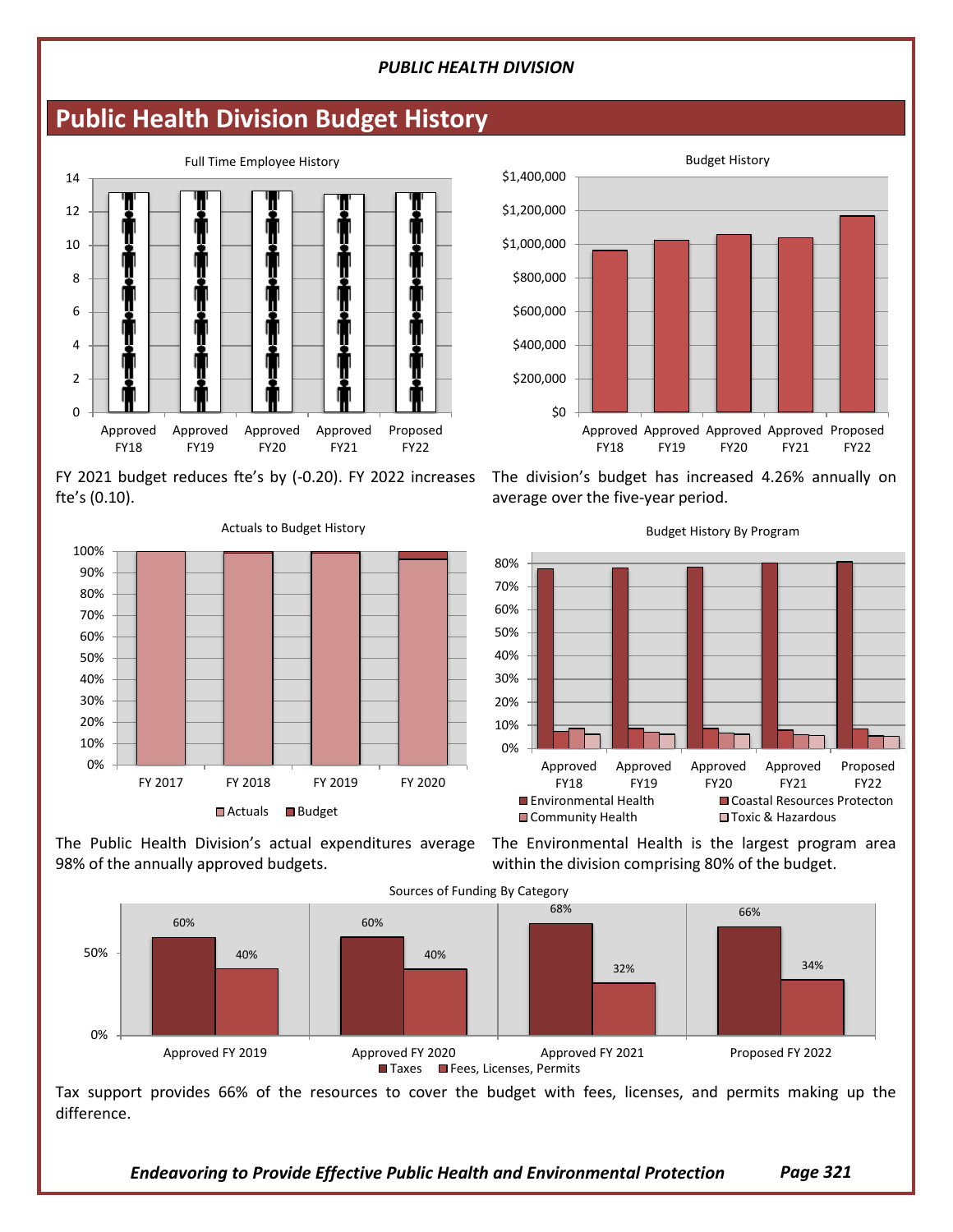## **Public Health Division Budget History**



FY 2021 budget reduces fte's by (-0.20). FY 2022 increases fte's (0.10).



Actuals to Budget History



The division's budget has increased 4.26% annually on average over the five-year period.



Budget History By Program

The Public Health Division's actual expenditures average The Environmental Health is the largest program area 98% of the annually approved budgets.

within the division comprising 80% of the budget.

*Services*



Tax support provides 66% of the resources to cover the budget with fees, licenses, and permits making up the difference.

*Endeavoring to Provide Effective Public Health and Environmental Protection*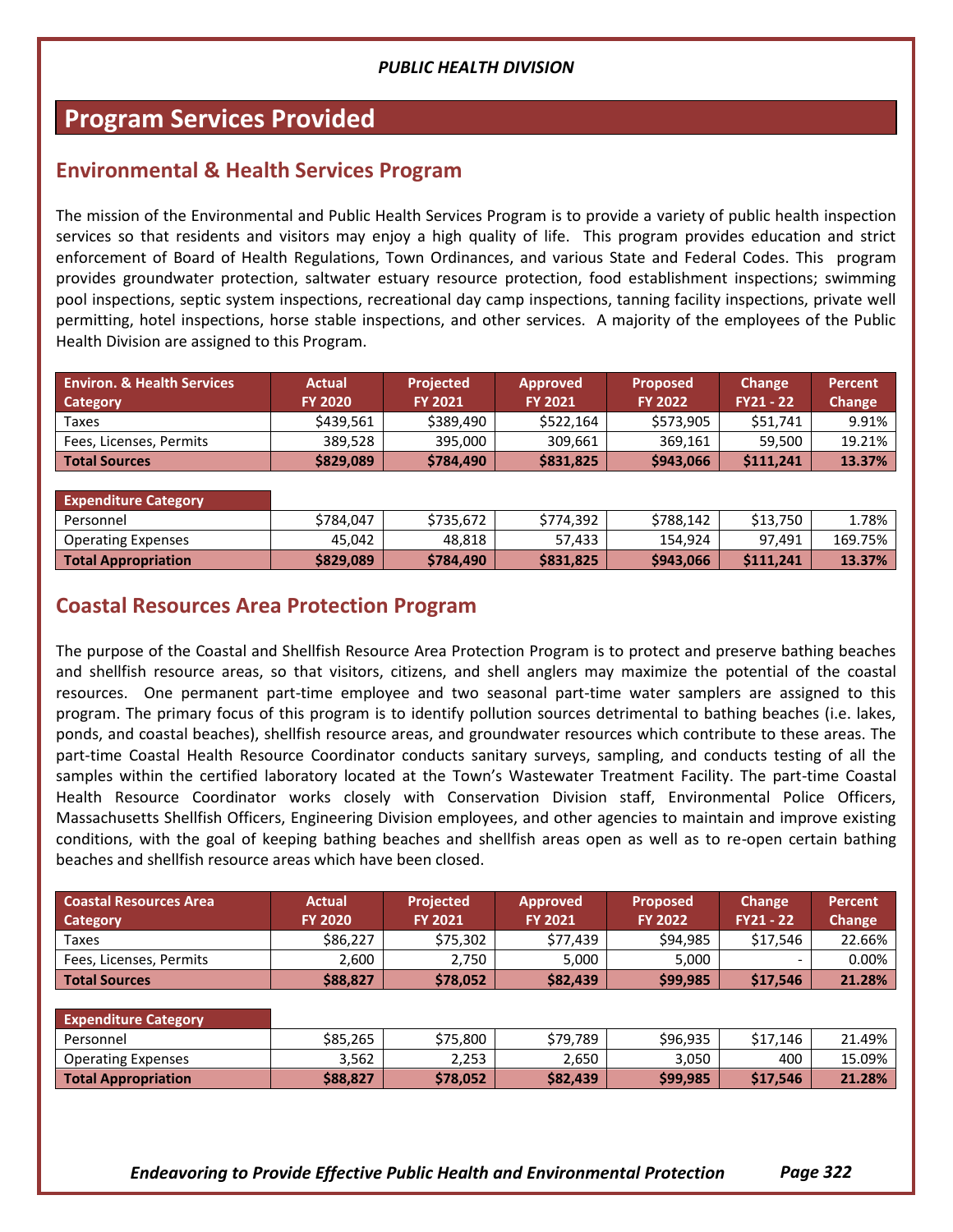## **Program Services Provided**

## **Environmental & Health Services Program**

The mission of the Environmental and Public Health Services Program is to provide a variety of public health inspection services so that residents and visitors may enjoy a high quality of life. This program provides education and strict enforcement of Board of Health Regulations, Town Ordinances, and various State and Federal Codes. This program provides groundwater protection, saltwater estuary resource protection, food establishment inspections; swimming pool inspections, septic system inspections, recreational day camp inspections, tanning facility inspections, private well permitting, hotel inspections, horse stable inspections, and other services. A majority of the employees of the Public Health Division are assigned to this Program.

| <b>Environ, &amp; Health Services</b><br>Category | <b>Actual</b><br><b>FY 2020</b> | <b>Projected</b><br><b>FY 2021</b> | <b>Approved</b><br><b>FY 2021</b> | <b>Proposed</b><br><b>FY 2022</b> | <b>Change</b><br><b>FY21 - 22</b> | Percent<br>Change |
|---------------------------------------------------|---------------------------------|------------------------------------|-----------------------------------|-----------------------------------|-----------------------------------|-------------------|
| Taxes                                             | \$439.561                       | \$389,490                          | \$522.164                         | \$573.905                         | \$51.741                          | 9.91%             |
| Fees, Licenses, Permits                           | 389.528                         | 395.000                            | 309.661                           | 369.161                           | 59.500                            | 19.21%            |
| <b>Total Sources</b>                              | \$829,089                       | \$784,490                          | \$831,825                         | \$943,066                         | \$111.241                         | 13.37%            |

| <b>Expenditure Category</b> |           |           |           |           |          |         |
|-----------------------------|-----------|-----------|-----------|-----------|----------|---------|
| Personnel                   | \$784.047 | \$735.672 | \$774.392 | \$788.142 | \$13.750 | 1.78%   |
| <b>Operating Expenses</b>   | 45.042    | 48.818    | 57.433    | 154.924   | 97.491   | 169.75% |
| <b>Total Appropriation</b>  | \$829.089 | \$784,490 | \$831,825 | \$943,066 | S111.241 | 13.37%  |

## **Coastal Resources Area Protection Program**

The purpose of the Coastal and Shellfish Resource Area Protection Program is to protect and preserve bathing beaches and shellfish resource areas, so that visitors, citizens, and shell anglers may maximize the potential of the coastal resources. One permanent part-time employee and two seasonal part-time water samplers are assigned to this program. The primary focus of this program is to identify pollution sources detrimental to bathing beaches (i.e. lakes, ponds, and coastal beaches), shellfish resource areas, and groundwater resources which contribute to these areas. The part-time Coastal Health Resource Coordinator conducts sanitary surveys, sampling, and conducts testing of all the samples within the certified laboratory located at the Town's Wastewater Treatment Facility. The part-time Coastal Health Resource Coordinator works closely with Conservation Division staff, Environmental Police Officers, Massachusetts Shellfish Officers, Engineering Division employees, and other agencies to maintain and improve existing conditions, with the goal of keeping bathing beaches and shellfish areas open as well as to re-open certain bathing beaches and shellfish resource areas which have been closed.

| <b>Coastal Resources Area</b><br>Category | <b>Actual</b><br><b>FY 2020</b> | <b>Projected</b><br><b>FY 2021</b> | <b>Approved</b><br>FY 2021 | <b>Proposed</b><br><b>FY 2022</b> | <b>Change</b><br>$FY21 - 22$ | <b>Percent</b><br><b>Change</b> |
|-------------------------------------------|---------------------------------|------------------------------------|----------------------------|-----------------------------------|------------------------------|---------------------------------|
| Taxes                                     | \$86,227                        | \$75,302                           | \$77,439                   | \$94,985                          | \$17,546                     | 22.66%                          |
| Fees, Licenses, Permits                   | 2,600                           | 2,750                              | 5,000                      | 5,000                             | -                            | 0.00%                           |
| <b>Total Sources</b>                      | \$88,827                        | \$78,052                           | \$82,439                   | \$99,985                          | \$17,546                     | 21.28%                          |
|                                           |                                 |                                    |                            |                                   |                              |                                 |
| <b>Expenditure Category</b>               |                                 |                                    |                            |                                   |                              |                                 |
| Personnel                                 | \$85,265                        | \$75,800                           | \$79,789                   | \$96,935                          | \$17.146                     | 21.49%                          |
| <b>Operating Expenses</b>                 | 3,562                           | 2,253                              | 2,650                      | 3,050                             | 400                          | 15.09%                          |
| <b>Total Appropriation</b>                | \$88,827                        | \$78,052                           | \$82,439                   | \$99,985                          | \$17,546                     | 21.28%                          |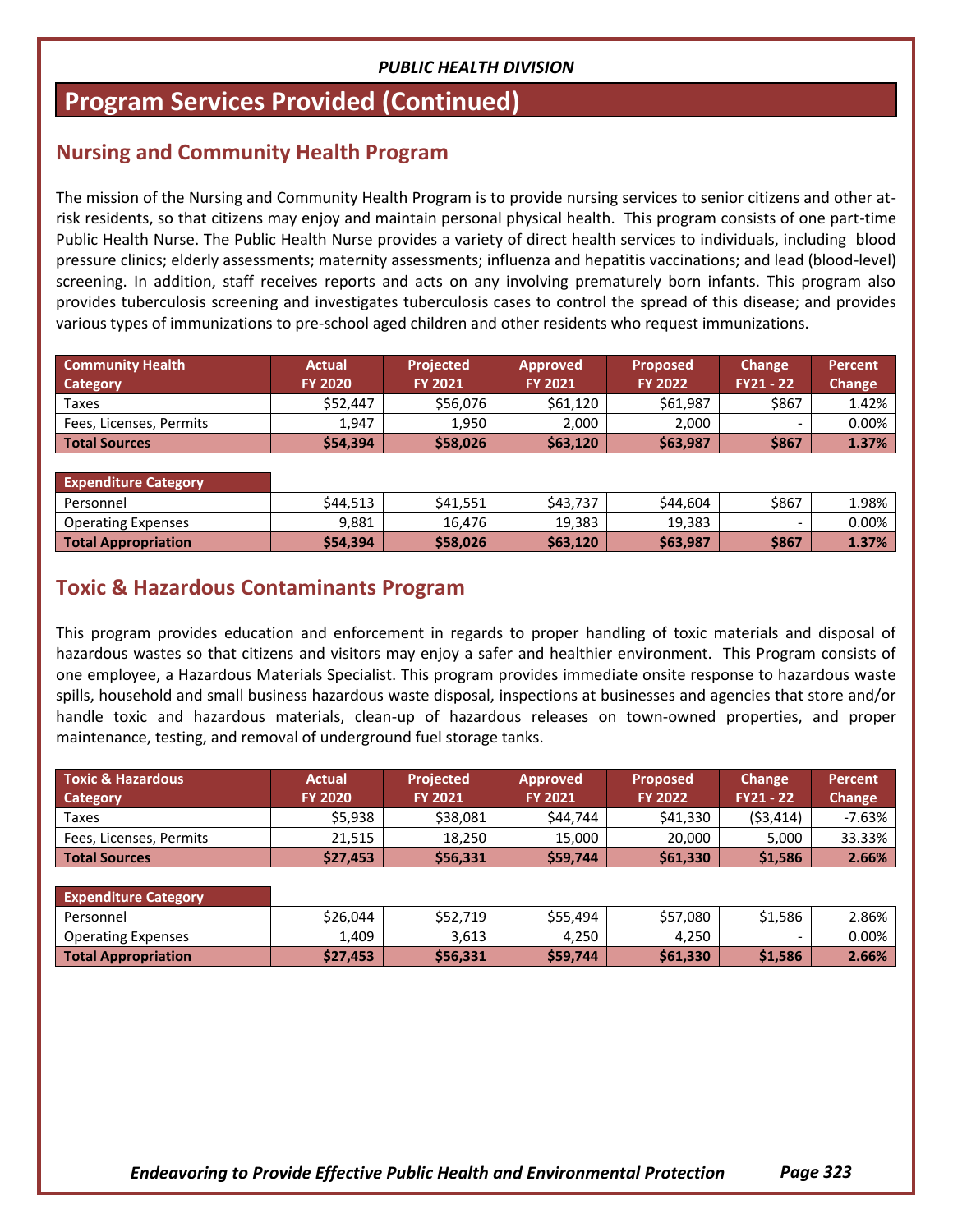## **Program Services Provided (Continued)**

## **Nursing and Community Health Program**

The mission of the Nursing and Community Health Program is to provide nursing services to senior citizens and other atrisk residents, so that citizens may enjoy and maintain personal physical health. This program consists of one part-time Public Health Nurse. The Public Health Nurse provides a variety of direct health services to individuals, including blood pressure clinics; elderly assessments; maternity assessments; influenza and hepatitis vaccinations; and lead (blood-level) screening. In addition, staff receives reports and acts on any involving prematurely born infants. This program also provides tuberculosis screening and investigates tuberculosis cases to control the spread of this disease; and provides various types of immunizations to pre-school aged children and other residents who request immunizations.

| <b>Community Health</b><br>Category | <b>Actual</b><br><b>FY 2020</b> | <b>Projected</b><br><b>FY 2021</b> | <b>Approved</b><br><b>FY 2021</b> | <b>Proposed</b><br><b>FY 2022</b> | <b>Change</b><br>$FY21 - 22$ | Percent<br>Change |
|-------------------------------------|---------------------------------|------------------------------------|-----------------------------------|-----------------------------------|------------------------------|-------------------|
| Taxes                               | \$52,447                        | \$56,076                           | \$61,120                          | \$61.987                          | \$867                        | 1.42%             |
| Fees, Licenses, Permits             | 1.947                           | 1,950                              | 2,000                             | 2,000                             | $\overline{\phantom{0}}$     | 0.00%             |
| <b>Total Sources</b>                | \$54,394                        | \$58,026                           | \$63,120                          | \$63,987                          | \$867                        | 1.37%             |

| <b>Expenditure Category</b> |          |          |          |          |       |          |
|-----------------------------|----------|----------|----------|----------|-------|----------|
| Personnel                   | \$44,513 | \$41,551 | \$43.737 | \$44.604 | \$867 | ⊸98% ⊥   |
| <b>Operating Expenses</b>   | 9.881    | 16,476   | 19,383   | 19,383   | -     | $0.00\%$ |
| <b>Total Appropriation</b>  | \$54,394 | \$58,026 | \$63,120 | \$63,987 | \$867 | 1.37%    |

## **Toxic & Hazardous Contaminants Program**

This program provides education and enforcement in regards to proper handling of toxic materials and disposal of hazardous wastes so that citizens and visitors may enjoy a safer and healthier environment. This Program consists of one employee, a Hazardous Materials Specialist. This program provides immediate onsite response to hazardous waste spills, household and small business hazardous waste disposal, inspections at businesses and agencies that store and/or handle toxic and hazardous materials, clean-up of hazardous releases on town-owned properties, and proper maintenance, testing, and removal of underground fuel storage tanks.

| <b>Toxic &amp; Hazardous</b><br>Category | <b>Actual</b><br><b>FY 2020</b> | <b>Projected</b><br><b>FY 2021</b> | <b>Approved</b><br><b>FY 2021</b> | <b>Proposed</b><br><b>FY 2022</b> | Change<br><b>FY21 - 22</b> | Percent<br>Change |
|------------------------------------------|---------------------------------|------------------------------------|-----------------------------------|-----------------------------------|----------------------------|-------------------|
| Taxes                                    | \$5.938                         | \$38,081                           | \$44.744                          | \$41.330                          | (53, 414)                  | -7.63%            |
| Fees, Licenses, Permits                  | 21.515                          | 18,250                             | 15,000                            | 20,000                            | 5,000                      | 33.33%            |
| Total Sources                            | \$27,453                        | \$56,331                           | \$59,744                          | \$61,330                          | \$1,586                    | 2.66%             |

| <b>Expenditure Category</b> |          |          |          |          |         |       |
|-----------------------------|----------|----------|----------|----------|---------|-------|
| Personnel                   | \$26,044 | \$52.719 | \$55.494 | \$57,080 | \$1,586 | 2.86% |
| <b>Operating Expenses</b>   | 1,409    | 3.613    | 4.250    | 4.250    | -       | 0.00% |
| <b>Total Appropriation</b>  | \$27,453 | \$56,331 | \$59,744 | \$61,330 | \$1,586 | 2.66% |